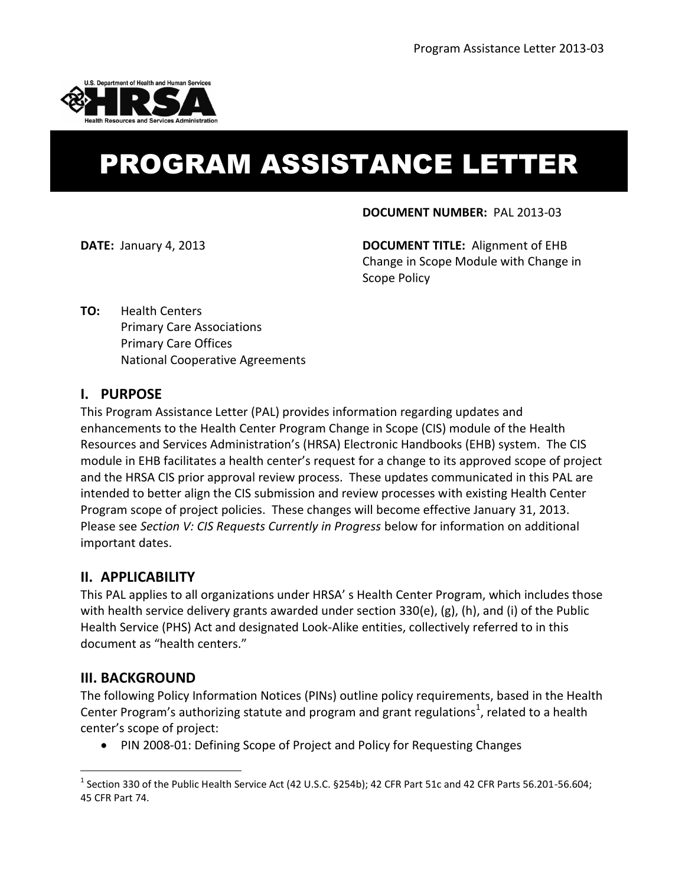

# PROGRAM ASSISTANCE LETTER

#### **DOCUMENT NUMBER:** PAL 2013-03

**DATE:** January 4, 2013 **DOCUMENT TITLE:** Alignment of EHB Change in Scope Module with Change in Scope Policy

**TO:** Health Centers Primary Care Associations Primary Care Offices National Cooperative Agreements

### **I. PURPOSE**

This Program Assistance Letter (PAL) provides information regarding updates and enhancements to the Health Center Program Change in Scope (CIS) module of the Health Resources and Services Administration's (HRSA) Electronic Handbooks (EHB) system. The CIS module in EHB facilitates a health center's request for a change to its approved scope of project and the HRSA CIS prior approval review process. These updates communicated in this PAL are intended to better align the CIS submission and review processes with existing Health Center Program scope of project policies. These changes will become effective January 31, 2013. Please see *Section V: CIS Requests Currently in Progress* below for information on additional important dates.

### **II. APPLICABILITY**

This PAL applies to all organizations under HRSA' s Health Center Program, which includes those with health service delivery grants awarded under section 330(e), (g), (h), and (i) of the Public Health Service (PHS) Act and designated Look-Alike entities, collectively referred to in this document as "health centers."

### **III. BACKGROUND**

 $\overline{a}$ 

The following Policy Information Notices (PINs) outline policy requirements, based in the Health Center Program's authorizing statute and program and grant regulations<sup>1</sup>, related to a health center's scope of project:

• PIN 2008-01: Defining Scope of Project and Policy for Requesting Changes

 $^1$  Section 330 of the Public Health Service Act (42 U.S.C. §254b); 42 CFR Part 51c and 42 CFR Parts 56.201-56.604; 45 CFR Part 74.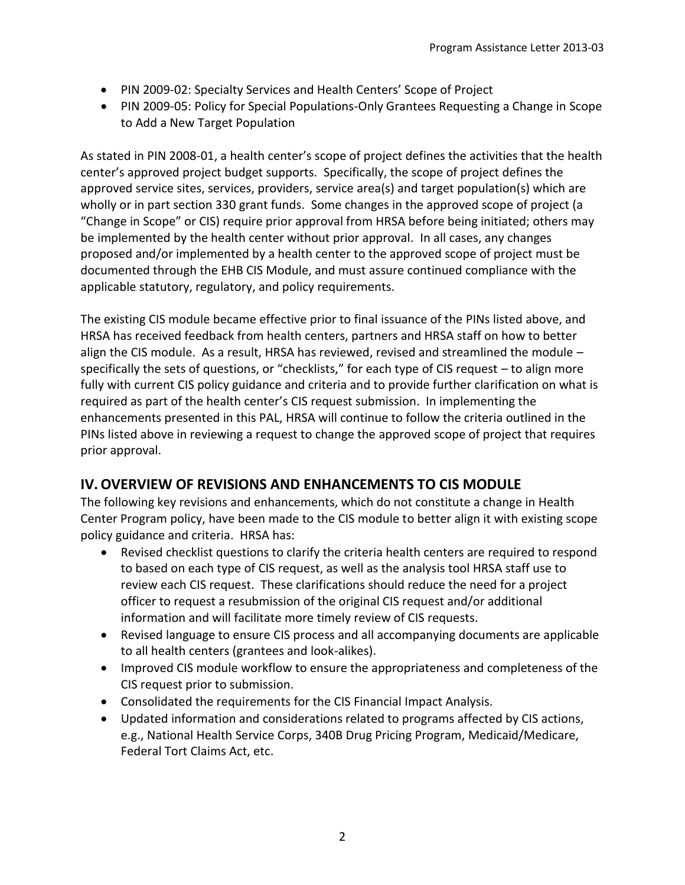- PIN 2009-02: Specialty Services and Health Centers' Scope of Project
- PIN 2009-05: Policy for Special Populations-Only Grantees Requesting a Change in Scope to Add a New Target Population

As stated in PIN 2008-01, a health center's scope of project defines the activities that the health center's approved project budget supports. Specifically, the scope of project defines the approved service sites, services, providers, service area(s) and target population(s) which are wholly or in part section 330 grant funds. Some changes in the approved scope of project (a "Change in Scope" or CIS) require prior approval from HRSA before being initiated; others may be implemented by the health center without prior approval. In all cases, any changes proposed and/or implemented by a health center to the approved scope of project must be documented through the EHB CIS Module, and must assure continued compliance with the applicable statutory, regulatory, and policy requirements.

The existing CIS module became effective prior to final issuance of the PINs listed above, and HRSA has received feedback from health centers, partners and HRSA staff on how to better align the CIS module. As a result, HRSA has reviewed, revised and streamlined the module – specifically the sets of questions, or "checklists," for each type of CIS request – to align more fully with current CIS policy guidance and criteria and to provide further clarification on what is required as part of the health center's CIS request submission. In implementing the enhancements presented in this PAL, HRSA will continue to follow the criteria outlined in the PINs listed above in reviewing a request to change the approved scope of project that requires prior approval.

## **IV.OVERVIEW OF REVISIONS AND ENHANCEMENTS TO CIS MODULE**

The following key revisions and enhancements, which do not constitute a change in Health Center Program policy, have been made to the CIS module to better align it with existing scope policy guidance and criteria. HRSA has:

- Revised checklist questions to clarify the criteria health centers are required to respond to based on each type of CIS request, as well as the analysis tool HRSA staff use to review each CIS request. These clarifications should reduce the need for a project officer to request a resubmission of the original CIS request and/or additional information and will facilitate more timely review of CIS requests.
- Revised language to ensure CIS process and all accompanying documents are applicable to all health centers (grantees and look-alikes).
- Improved CIS module workflow to ensure the appropriateness and completeness of the CIS request prior to submission.
- Consolidated the requirements for the CIS Financial Impact Analysis.
- Updated information and considerations related to programs affected by CIS actions, e.g., National Health Service Corps, 340B Drug Pricing Program, Medicaid/Medicare, Federal Tort Claims Act, etc.